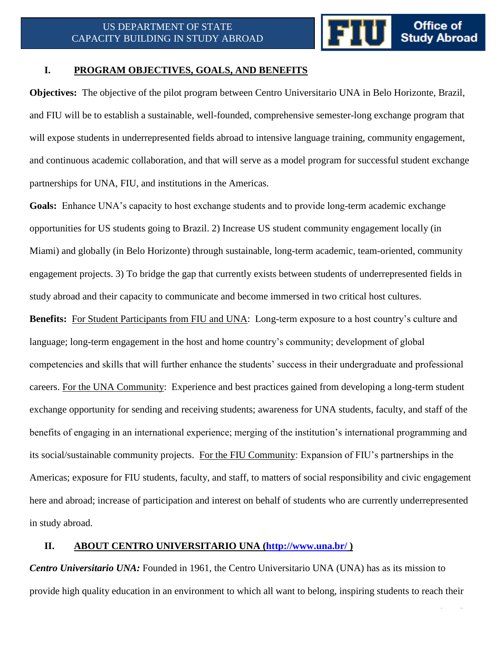1 | P a g e

#### **I. PROGRAM OBJECTIVES, GOALS, AND BENEFITS**

**Objectives:** The objective of the pilot program between Centro Universitario UNA in Belo Horizonte, Brazil, and FIU will be to establish a sustainable, well-founded, comprehensive semester-long exchange program that will expose students in underrepresented fields abroad to intensive language training, community engagement, and continuous academic collaboration, and that will serve as a model program for successful student exchange partnerships for UNA, FIU, and institutions in the Americas.

**Goals:** Enhance UNA's capacity to host exchange students and to provide long-term academic exchange opportunities for US students going to Brazil. 2) Increase US student community engagement locally (in Miami) and globally (in Belo Horizonte) through sustainable, long-term academic, team-oriented, community engagement projects. 3) To bridge the gap that currently exists between students of underrepresented fields in study abroad and their capacity to communicate and become immersed in two critical host cultures.

**Benefits:** For Student Participants from FIU and UNA: Long-term exposure to a host country's culture and language; long-term engagement in the host and home country's community; development of global competencies and skills that will further enhance the students' success in their undergraduate and professional careers. For the UNA Community: Experience and best practices gained from developing a long-term student exchange opportunity for sending and receiving students; awareness for UNA students, faculty, and staff of the benefits of engaging in an international experience; merging of the institution's international programming and its social/sustainable community projects. For the FIU Community: Expansion of FIU's partnerships in the Americas; exposure for FIU students, faculty, and staff, to matters of social responsibility and civic engagement here and abroad; increase of participation and interest on behalf of students who are currently underrepresented in study abroad.

## **II. ABOUT CENTRO UNIVERSITARIO UNA [\(http://www.una.br/](http://www.una.br/) )**

*Centro Universitario UNA:* Founded in 1961, the Centro Universitario UNA (UNA) has as its mission to provide high quality education in an environment to which all want to belong, inspiring students to reach their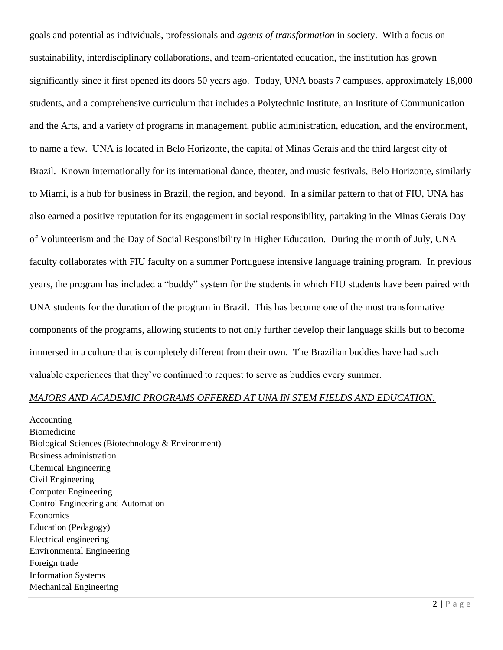goals and potential as individuals, professionals and *agents of transformation* in society. With a focus on sustainability, interdisciplinary collaborations, and team-orientated education, the institution has grown significantly since it first opened its doors 50 years ago. Today, UNA boasts 7 campuses, approximately 18,000 students, and a comprehensive curriculum that includes a Polytechnic Institute, an Institute of Communication and the Arts, and a variety of programs in management, public administration, education, and the environment, to name a few. UNA is located in Belo Horizonte, the capital of Minas Gerais and the third largest city of Brazil. Known internationally for its international dance, theater, and music festivals, Belo Horizonte, similarly to Miami, is a hub for business in Brazil, the region, and beyond. In a similar pattern to that of FIU, UNA has also earned a positive reputation for its engagement in social responsibility, partaking in the Minas Gerais Day of Volunteerism and the Day of Social Responsibility in Higher Education. During the month of July, UNA faculty collaborates with FIU faculty on a summer Portuguese intensive language training program. In previous years, the program has included a "buddy" system for the students in which FIU students have been paired with UNA students for the duration of the program in Brazil. This has become one of the most transformative components of the programs, allowing students to not only further develop their language skills but to become immersed in a culture that is completely different from their own. The Brazilian buddies have had such valuable experiences that they've continued to request to serve as buddies every summer.

#### *MAJORS AND ACADEMIC PROGRAMS OFFERED AT UNA IN STEM FIELDS AND EDUCATION:*

Accounting Biomedicine Biological Sciences (Biotechnology & Environment) Business administration Chemical Engineering Civil Engineering Computer Engineering Control Engineering and Automation Economics Education (Pedagogy) Electrical engineering Environmental Engineering Foreign trade Information Systems Mechanical Engineering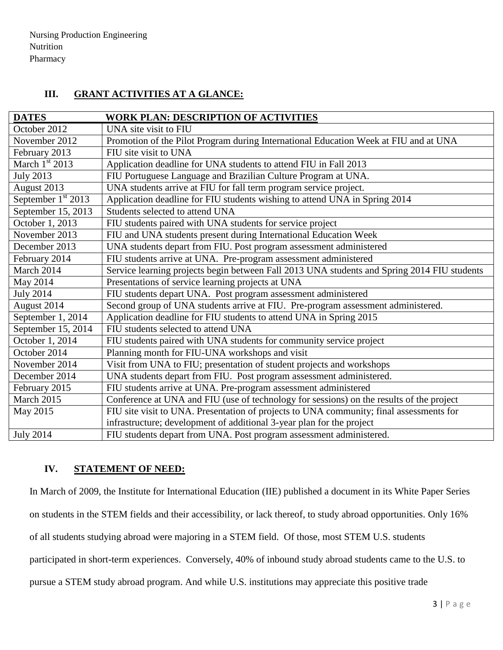# **III. GRANT ACTIVITIES AT A GLANCE:**

| <b>DATES</b>         | <b>WORK PLAN: DESCRIPTION OF ACTIVITIES</b>                                                 |
|----------------------|---------------------------------------------------------------------------------------------|
| October 2012         | UNA site visit to FIU                                                                       |
| November 2012        | Promotion of the Pilot Program during International Education Week at FIU and at UNA        |
| February 2013        | FIU site visit to UNA                                                                       |
| March $1st$ 2013     | Application deadline for UNA students to attend FIU in Fall 2013                            |
| <b>July 2013</b>     | FIU Portuguese Language and Brazilian Culture Program at UNA.                               |
| August 2013          | UNA students arrive at FIU for fall term program service project.                           |
| September $1st$ 2013 | Application deadline for FIU students wishing to attend UNA in Spring 2014                  |
| September 15, 2013   | Students selected to attend UNA                                                             |
| October 1, 2013      | FIU students paired with UNA students for service project                                   |
| November 2013        | FIU and UNA students present during International Education Week                            |
| December 2013        | UNA students depart from FIU. Post program assessment administered                          |
| February 2014        | FIU students arrive at UNA. Pre-program assessment administered                             |
| March 2014           | Service learning projects begin between Fall 2013 UNA students and Spring 2014 FIU students |
| May 2014             | Presentations of service learning projects at UNA                                           |
| <b>July 2014</b>     | FIU students depart UNA. Post program assessment administered                               |
| August 2014          | Second group of UNA students arrive at FIU. Pre-program assessment administered.            |
| September 1, 2014    | Application deadline for FIU students to attend UNA in Spring 2015                          |
| September 15, 2014   | FIU students selected to attend UNA                                                         |
| October 1, 2014      | FIU students paired with UNA students for community service project                         |
| October 2014         | Planning month for FIU-UNA workshops and visit                                              |
| November 2014        | Visit from UNA to FIU; presentation of student projects and workshops                       |
| December 2014        | UNA students depart from FIU. Post program assessment administered.                         |
| February 2015        | FIU students arrive at UNA. Pre-program assessment administered                             |
| March 2015           | Conference at UNA and FIU (use of technology for sessions) on the results of the project    |
| May 2015             | FIU site visit to UNA. Presentation of projects to UNA community; final assessments for     |
|                      | infrastructure; development of additional 3-year plan for the project                       |
| <b>July 2014</b>     | FIU students depart from UNA. Post program assessment administered.                         |

## **IV. STATEMENT OF NEED:**

In March of 2009, the Institute for International Education (IIE) published a document in its White Paper Series

on students in the STEM fields and their accessibility, or lack thereof, to study abroad opportunities. Only 16%

of all students studying abroad were majoring in a STEM field. Of those, most STEM U.S. students

participated in short-term experiences. Conversely, 40% of inbound study abroad students came to the U.S. to

pursue a STEM study abroad program. And while U.S. institutions may appreciate this positive trade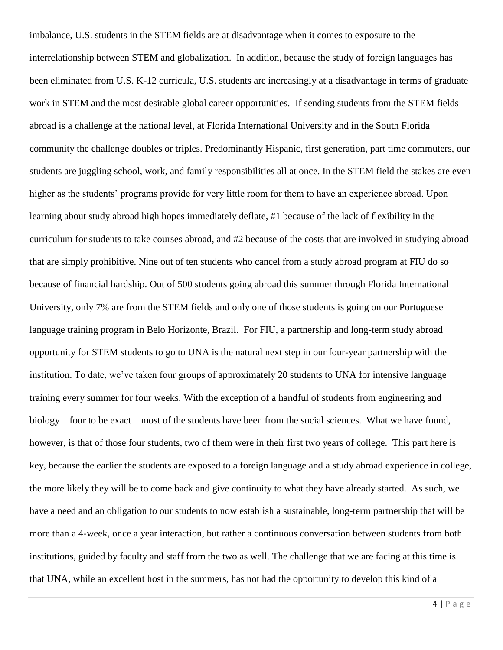imbalance, U.S. students in the STEM fields are at disadvantage when it comes to exposure to the interrelationship between STEM and globalization. In addition, because the study of foreign languages has been eliminated from U.S. K-12 curricula, U.S. students are increasingly at a disadvantage in terms of graduate work in STEM and the most desirable global career opportunities. If sending students from the STEM fields abroad is a challenge at the national level, at Florida International University and in the South Florida community the challenge doubles or triples. Predominantly Hispanic, first generation, part time commuters, our students are juggling school, work, and family responsibilities all at once. In the STEM field the stakes are even higher as the students' programs provide for very little room for them to have an experience abroad. Upon learning about study abroad high hopes immediately deflate, #1 because of the lack of flexibility in the curriculum for students to take courses abroad, and #2 because of the costs that are involved in studying abroad that are simply prohibitive. Nine out of ten students who cancel from a study abroad program at FIU do so because of financial hardship. Out of 500 students going abroad this summer through Florida International University, only 7% are from the STEM fields and only one of those students is going on our Portuguese language training program in Belo Horizonte, Brazil. For FIU, a partnership and long-term study abroad opportunity for STEM students to go to UNA is the natural next step in our four-year partnership with the institution. To date, we've taken four groups of approximately 20 students to UNA for intensive language training every summer for four weeks. With the exception of a handful of students from engineering and biology—four to be exact—most of the students have been from the social sciences. What we have found, however, is that of those four students, two of them were in their first two years of college. This part here is key, because the earlier the students are exposed to a foreign language and a study abroad experience in college, the more likely they will be to come back and give continuity to what they have already started. As such, we have a need and an obligation to our students to now establish a sustainable, long-term partnership that will be more than a 4-week, once a year interaction, but rather a continuous conversation between students from both institutions, guided by faculty and staff from the two as well. The challenge that we are facing at this time is that UNA, while an excellent host in the summers, has not had the opportunity to develop this kind of a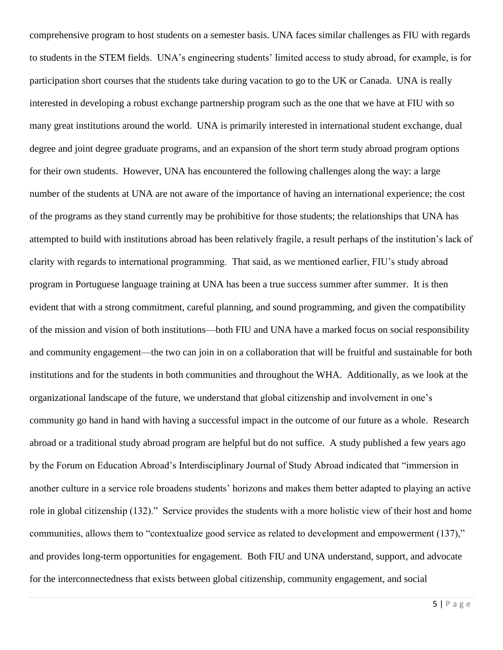comprehensive program to host students on a semester basis. UNA faces similar challenges as FIU with regards to students in the STEM fields. UNA's engineering students' limited access to study abroad, for example, is for participation short courses that the students take during vacation to go to the UK or Canada. UNA is really interested in developing a robust exchange partnership program such as the one that we have at FIU with so many great institutions around the world. UNA is primarily interested in international student exchange, dual degree and joint degree graduate programs, and an expansion of the short term study abroad program options for their own students. However, UNA has encountered the following challenges along the way: a large number of the students at UNA are not aware of the importance of having an international experience; the cost of the programs as they stand currently may be prohibitive for those students; the relationships that UNA has attempted to build with institutions abroad has been relatively fragile, a result perhaps of the institution's lack of clarity with regards to international programming. That said, as we mentioned earlier, FIU's study abroad program in Portuguese language training at UNA has been a true success summer after summer. It is then evident that with a strong commitment, careful planning, and sound programming, and given the compatibility of the mission and vision of both institutions—both FIU and UNA have a marked focus on social responsibility and community engagement—the two can join in on a collaboration that will be fruitful and sustainable for both institutions and for the students in both communities and throughout the WHA. Additionally, as we look at the organizational landscape of the future, we understand that global citizenship and involvement in one's community go hand in hand with having a successful impact in the outcome of our future as a whole. Research abroad or a traditional study abroad program are helpful but do not suffice. A study published a few years ago by the Forum on Education Abroad's Interdisciplinary Journal of Study Abroad indicated that "immersion in another culture in a service role broadens students' horizons and makes them better adapted to playing an active role in global citizenship (132)." Service provides the students with a more holistic view of their host and home communities, allows them to "contextualize good service as related to development and empowerment (137)," and provides long-term opportunities for engagement. Both FIU and UNA understand, support, and advocate for the interconnectedness that exists between global citizenship, community engagement, and social